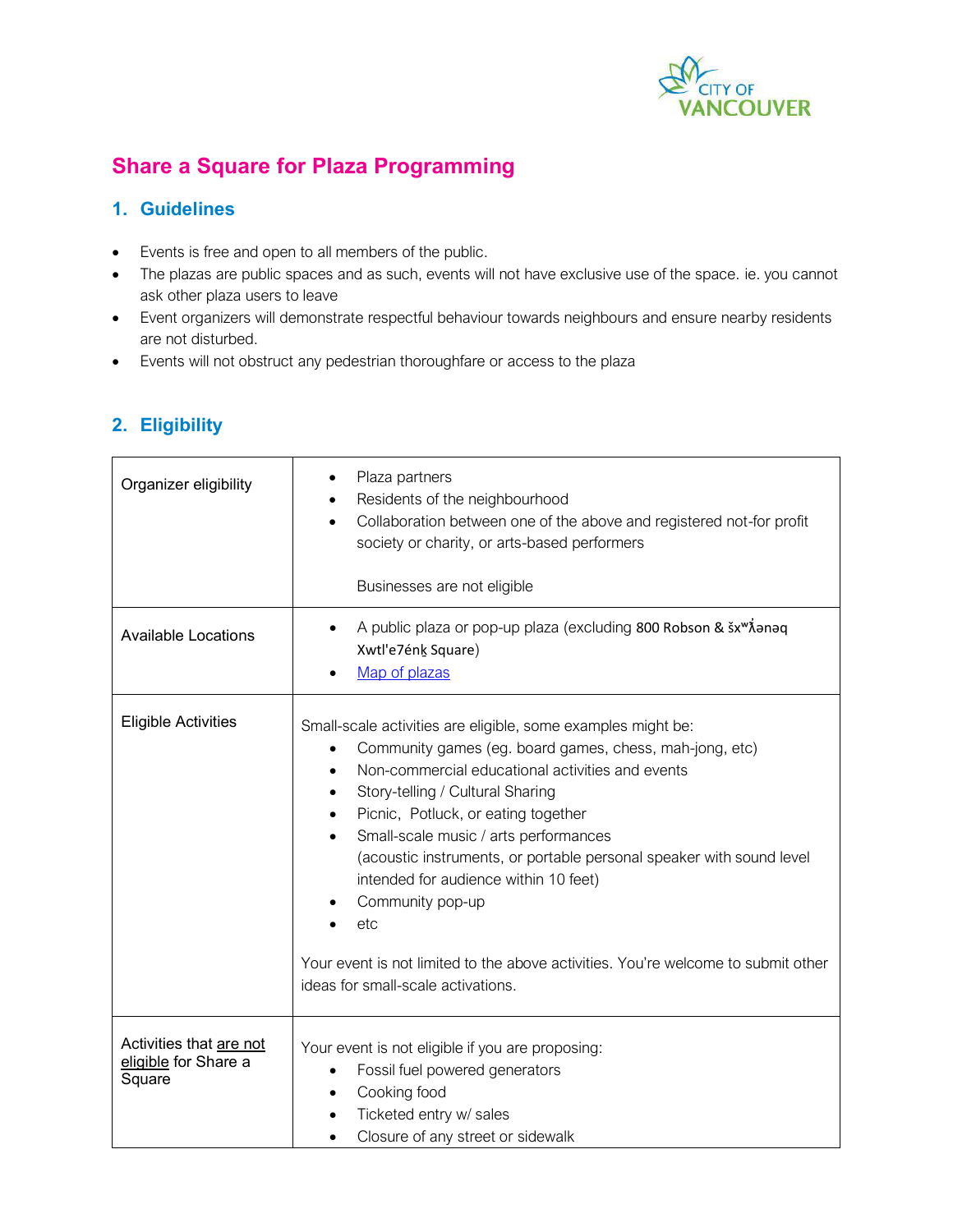

## **Share a Square for Plaza Programming**

## **1. Guidelines**

- Events is free and open to all members of the public.
- The plazas are public spaces and as such, events will not have exclusive use of the space. ie. you cannot ask other plaza users to leave
- Event organizers will demonstrate respectful behaviour towards neighbours and ensure nearby residents are not disturbed.
- Events will not obstruct any pedestrian thoroughfare or access to the plaza

| Organizer eligibility                                     | Plaza partners<br>Residents of the neighbourhood<br>Collaboration between one of the above and registered not-for profit<br>society or charity, or arts-based performers<br>Businesses are not eligible                                                                                                                                                                                                                                                                                                                                                                     |
|-----------------------------------------------------------|-----------------------------------------------------------------------------------------------------------------------------------------------------------------------------------------------------------------------------------------------------------------------------------------------------------------------------------------------------------------------------------------------------------------------------------------------------------------------------------------------------------------------------------------------------------------------------|
| <b>Available Locations</b>                                | A public plaza or pop-up plaza (excluding 800 Robson & šx <sup>w</sup> ionaq<br>$\bullet$<br>Xwtl'e7énk Square)<br>Map of plazas                                                                                                                                                                                                                                                                                                                                                                                                                                            |
| <b>Eligible Activities</b>                                | Small-scale activities are eligible, some examples might be:<br>Community games (eg. board games, chess, mah-jong, etc)<br>٠<br>Non-commercial educational activities and events<br>Story-telling / Cultural Sharing<br>Picnic, Potluck, or eating together<br>Small-scale music / arts performances<br>(acoustic instruments, or portable personal speaker with sound level<br>intended for audience within 10 feet)<br>Community pop-up<br>etc<br>Your event is not limited to the above activities. You're welcome to submit other<br>ideas for small-scale activations. |
| Activities that are not<br>eligible for Share a<br>Square | Your event is not eligible if you are proposing:<br>Fossil fuel powered generators<br>$\bullet$<br>Cooking food<br>Ticketed entry w/ sales<br>Closure of any street or sidewalk                                                                                                                                                                                                                                                                                                                                                                                             |

## **2. Eligibility**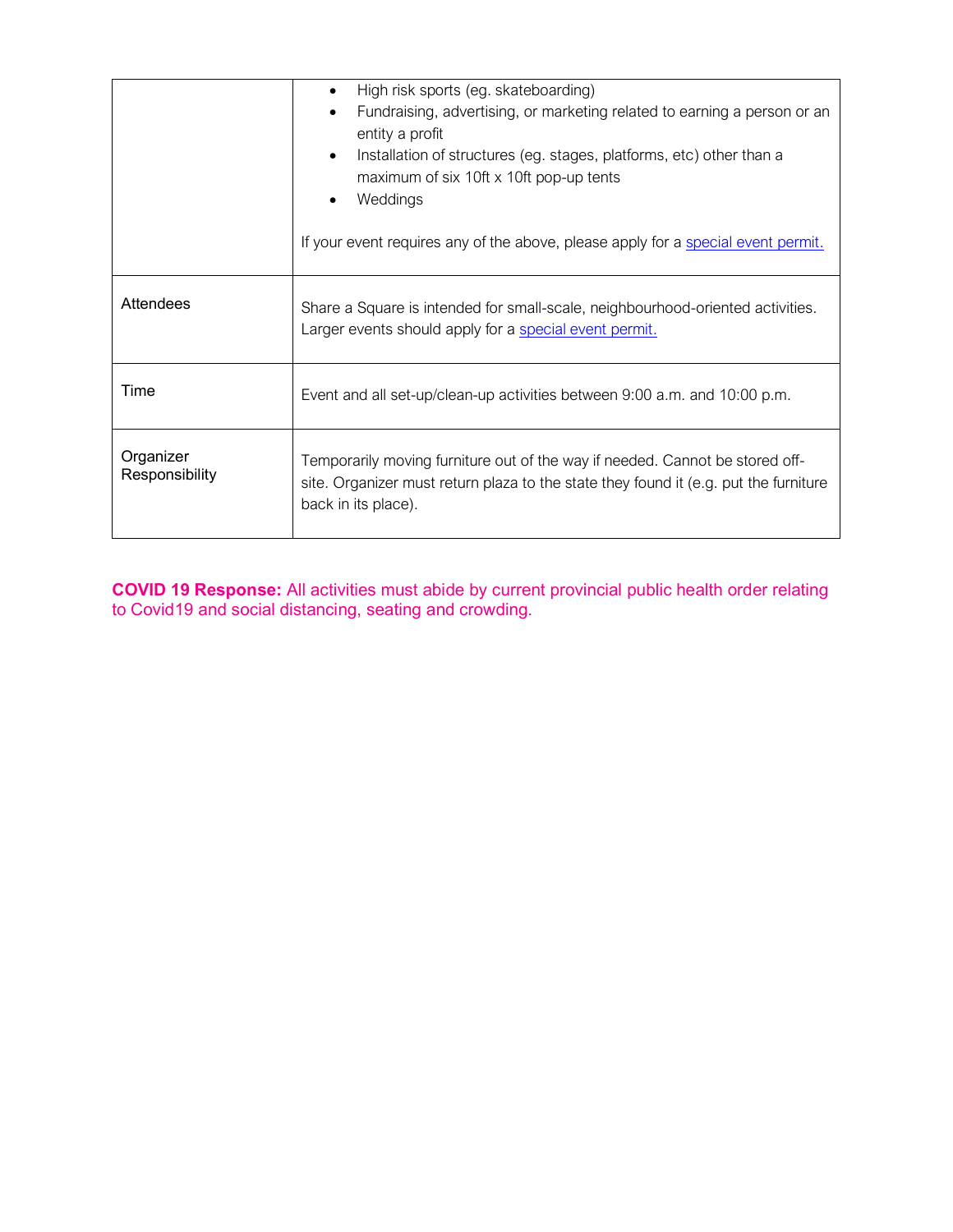|                             | High risk sports (eg. skateboarding)                                                                                                                                                        |  |  |
|-----------------------------|---------------------------------------------------------------------------------------------------------------------------------------------------------------------------------------------|--|--|
|                             | Fundraising, advertising, or marketing related to earning a person or an<br>$\bullet$<br>entity a profit                                                                                    |  |  |
|                             | Installation of structures (eg. stages, platforms, etc) other than a<br>$\bullet$<br>maximum of six 10ft x 10ft pop-up tents                                                                |  |  |
|                             | Weddings                                                                                                                                                                                    |  |  |
|                             | If your event requires any of the above, please apply for a special event permit.                                                                                                           |  |  |
| Attendees                   | Share a Square is intended for small-scale, neighbourhood-oriented activities.<br>Larger events should apply for a special event permit.                                                    |  |  |
| Time                        | Event and all set-up/clean-up activities between 9:00 a.m. and 10:00 p.m.                                                                                                                   |  |  |
| Organizer<br>Responsibility | Temporarily moving furniture out of the way if needed. Cannot be stored off-<br>site. Organizer must return plaza to the state they found it (e.g. put the furniture<br>back in its place). |  |  |

**COVID 19 Response:** All activities must abide by current provincial public health order relating to Covid19 and social distancing, seating and crowding.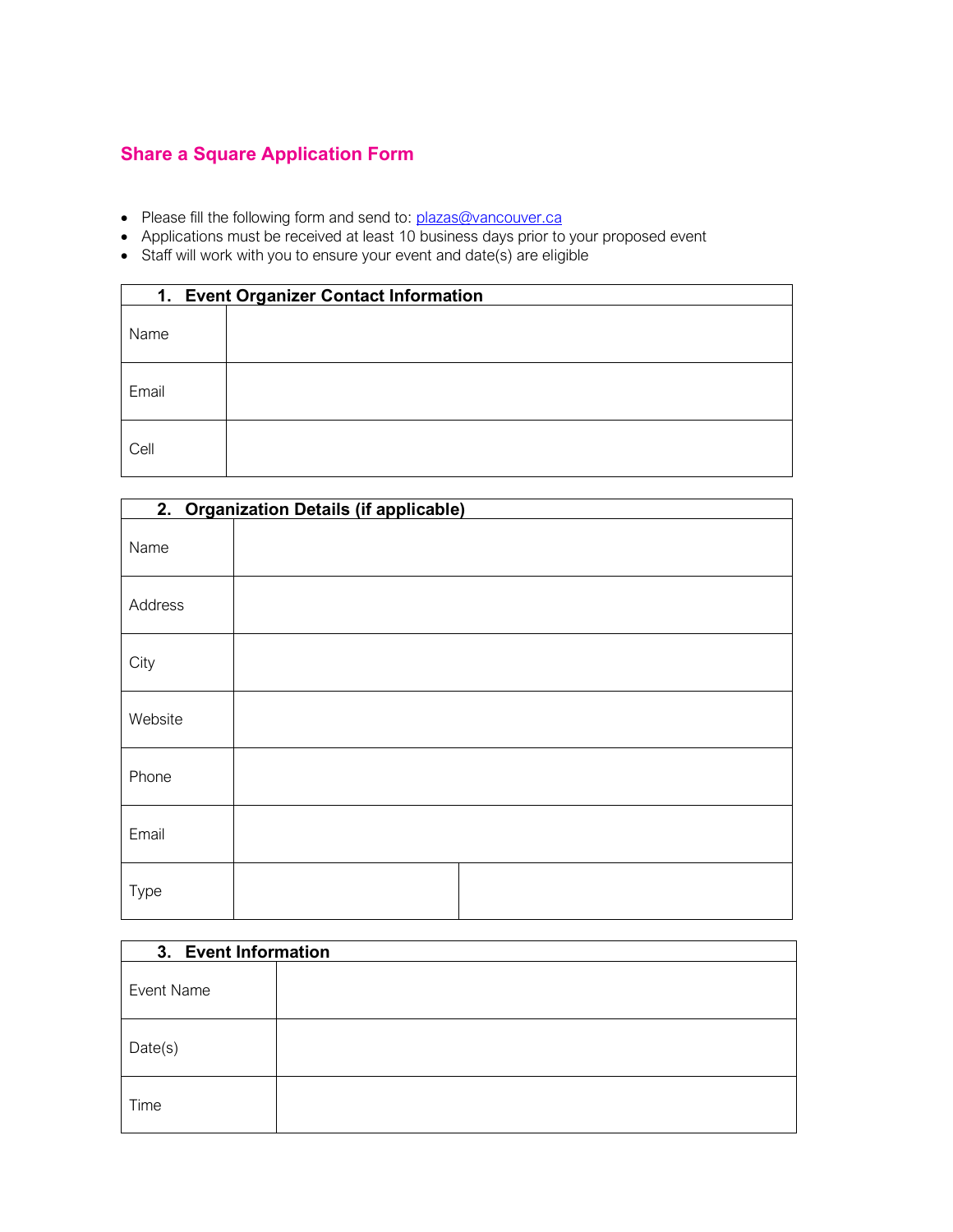## **Share a Square Application Form**

- Please fill the following form and send to: *plazas@vancouver.ca*
- Applications must be received at least 10 business days prior to your proposed event
- Staff will work with you to ensure your event and date(s) are eligible

| 1. Event Organizer Contact Information |  |  |
|----------------------------------------|--|--|
| Name                                   |  |  |
| Email                                  |  |  |
| Cell                                   |  |  |

| 2. Organization Details (if applicable) |  |  |  |  |
|-----------------------------------------|--|--|--|--|
| Name                                    |  |  |  |  |
| Address                                 |  |  |  |  |
| City                                    |  |  |  |  |
| Website                                 |  |  |  |  |
| Phone                                   |  |  |  |  |
| Email                                   |  |  |  |  |
| Type                                    |  |  |  |  |

| 3. Event Information |  |  |
|----------------------|--|--|
| Event Name           |  |  |
| Date(s)              |  |  |
| Time                 |  |  |